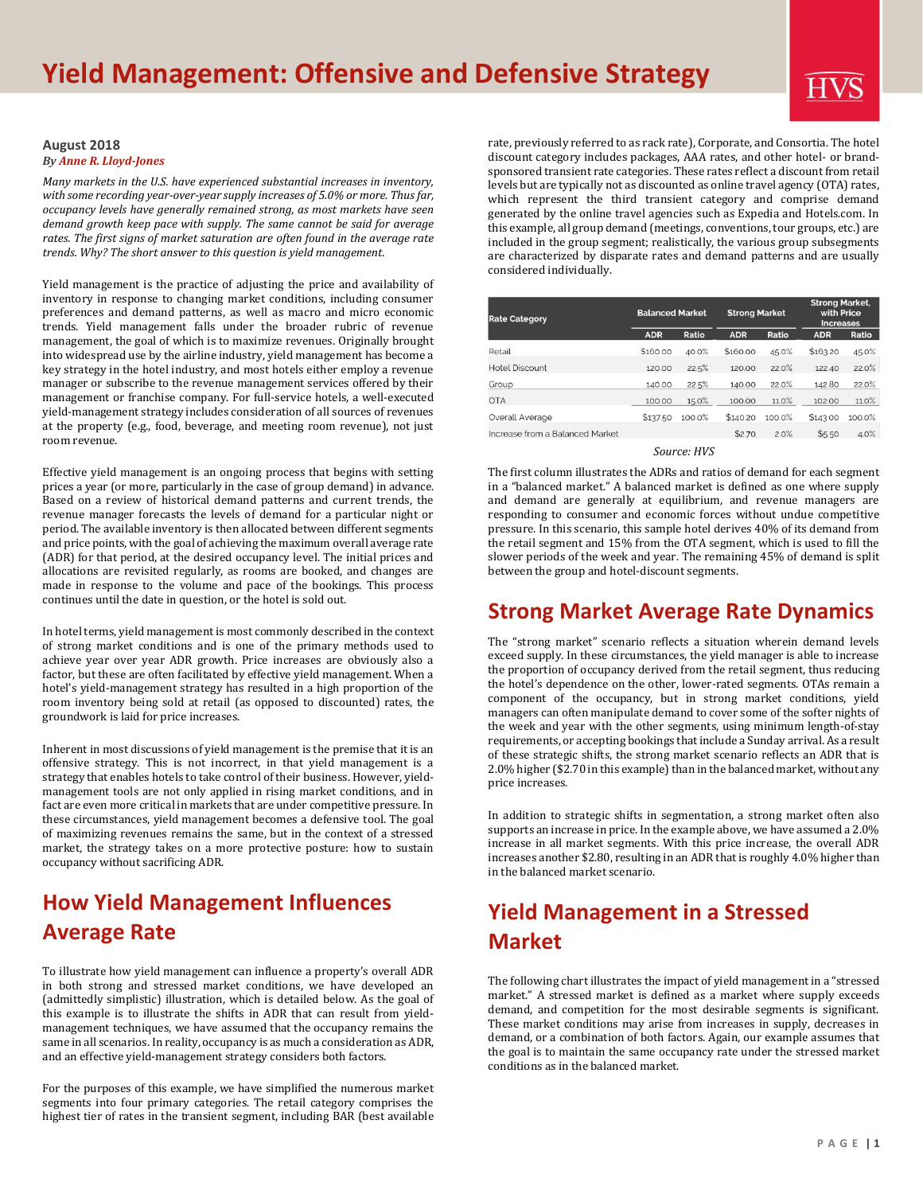#### **August 2018** *B[y Anne R. Lloyd-Jones](https://www.hvs.com/personnel/1-anne-r.-lloyd-jones)*

*Many markets in the U.S. have experienced substantial increases in inventory, with some recording year-over-year supply increases of 5.0% or more. Thus far, occupancy levels have generally remained strong, as most markets have seen demand growth keep pace with supply. The same cannot be said for average rates. The first signs of market saturation are often found in the average rate trends. Why? The short answer to this question is yield management.*

Yield management is the practice of adjusting the price and availability of inventory in response to changing market conditions, including consumer preferences and demand patterns, as well as macro and micro economic trends. Yield management falls under the broader rubric of revenue management, the goal of which is to maximize revenues. Originally brought into widespread use by the airline industry, yield management has become a key strategy in the hotel industry, and most hotels either employ a revenue manager or subscribe to the revenue management services offered by their management or franchise company. For full-service hotels, a well-executed yield-management strategy includes consideration of all sources of revenues at the property (e.g., food, beverage, and meeting room revenue), not just room revenue.

Effective yield management is an ongoing process that begins with setting prices a year (or more, particularly in the case of group demand) in advance. Based on a review of historical demand patterns and current trends, the revenue manager forecasts the levels of demand for a particular night or period. The available inventory is then allocated between different segments and price points, with the goal of achieving the maximum overall average rate (ADR) for that period, at the desired occupancy level. The initial prices and allocations are revisited regularly, as rooms are booked, and changes are made in response to the volume and pace of the bookings. This process continues until the date in question, or the hotel is sold out.

In hotel terms, yield management is most commonly described in the context of strong market conditions and is one of the primary methods used to achieve year over year ADR growth. Price increases are obviously also a factor, but these are often facilitated by effective yield management. When a hotel's yield-management strategy has resulted in a high proportion of the room inventory being sold at retail (as opposed to discounted) rates, the groundwork is laid for price increases.

Inherent in most discussions of yield management is the premise that it is an offensive strategy. This is not incorrect, in that yield management is a strategy that enables hotels to take control of their business. However, yieldmanagement tools are not only applied in rising market conditions, and in fact are even more critical in markets that are under competitive pressure. In these circumstances, yield management becomes a defensive tool. The goal of maximizing revenues remains the same, but in the context of a stressed market, the strategy takes on a more protective posture: how to sustain occupancy without sacrificing ADR.

# **How Yield Management Influences Average Rate**

To illustrate how yield management can influence a property's overall ADR in both strong and stressed market conditions, we have developed an (admittedly simplistic) illustration, which is detailed below. As the goal of this example is to illustrate the shifts in ADR that can result from yieldmanagement techniques, we have assumed that the occupancy remains the same in all scenarios. In reality, occupancy is as much a consideration as ADR, and an effective yield-management strategy considers both factors.

For the purposes of this example, we have simplified the numerous market segments into four primary categories. The retail category comprises the highest tier of rates in the transient segment, including BAR (best available

rate, previously referred to as rack rate), Corporate, and Consortia. The hotel discount category includes packages, AAA rates, and other hotel- or brandsponsored transient rate categories. These rates reflect a discount from retail levels but are typically not as discounted as online travel agency (OTA) rates, which represent the third transient category and comprise demand generated by the online travel agencies such as Expedia and Hotels.com. In this example, all group demand (meetings, conventions, tour groups, etc.) are included in the group segment; realistically, the various group subsegments are characterized by disparate rates and demand patterns and are usually considered individually.

| <b>Rate Category</b>            | <b>Balanced Market</b> |        | <b>Strong Market</b> |        | <b>Strong Market,</b><br>with Price<br><b>Increases</b> |        |
|---------------------------------|------------------------|--------|----------------------|--------|---------------------------------------------------------|--------|
|                                 | <b>ADR</b>             | Ratio  | <b>ADR</b>           | Ratio  | <b>ADR</b>                                              | Ratio  |
| Retail                          | \$160.00               | 40.0%  | \$160.00             | 45.0%  | \$163.20                                                | 45.0%  |
| Hotel Discount                  | 120.00                 | 22.5%  | 120.00               | 22.0%  | 122.40                                                  | 22.0%  |
| Group                           | 140.00                 | 22.5%  | 140.00               | 22.0%  | 142.80                                                  | 22.0%  |
| <b>OTA</b>                      | 100.00                 | 15.0%  | 100.00               | 11.0%  | 102.00                                                  | 11.0%  |
| Overall Average                 | \$137.50               | 100.0% | \$140.20             | 100.0% | \$143.00                                                | 100.0% |
| Increase from a Balanced Market |                        |        | \$2.70               | 2.0%   | \$5.50                                                  | 4.0%   |

#### *Source: HVS*

The first column illustrates the ADRs and ratios of demand for each segment in a "balanced market." A balanced market is defined as one where supply and demand are generally at equilibrium, and revenue managers are responding to consumer and economic forces without undue competitive pressure. In this scenario, this sample hotel derives 40% of its demand from the retail segment and 15% from the OTA segment, which is used to fill the slower periods of the week and year. The remaining 45% of demand is split between the group and hotel-discount segments.

### **Strong Market Average Rate Dynamics**

The "strong market" scenario reflects a situation wherein demand levels exceed supply. In these circumstances, the yield manager is able to increase the proportion of occupancy derived from the retail segment, thus reducing the hotel's dependence on the other, lower-rated segments. OTAs remain a component of the occupancy, but in strong market conditions, yield managers can often manipulate demand to cover some of the softer nights of the week and year with the other segments, using minimum length-of-stay requirements, or accepting bookings that include a Sunday arrival. As a result of these strategic shifts, the strong market scenario reflects an ADR that is 2.0% higher (\$2.70 in this example) than in the balanced market, without any price increases.

In addition to strategic shifts in segmentation, a strong market often also supports an increase in price. In the example above, we have assumed a 2.0% increase in all market segments. With this price increase, the overall ADR increases another \$2.80, resulting in an ADR that is roughly 4.0% higher than in the balanced market scenario.

# **Yield Management in a Stressed Market**

The following chart illustrates the impact of yield management in a "stressed market." A stressed market is defined as a market where supply exceeds demand, and competition for the most desirable segments is significant. These market conditions may arise from increases in supply, decreases in demand, or a combination of both factors. Again, our example assumes that the goal is to maintain the same occupancy rate under the stressed market conditions as in the balanced market.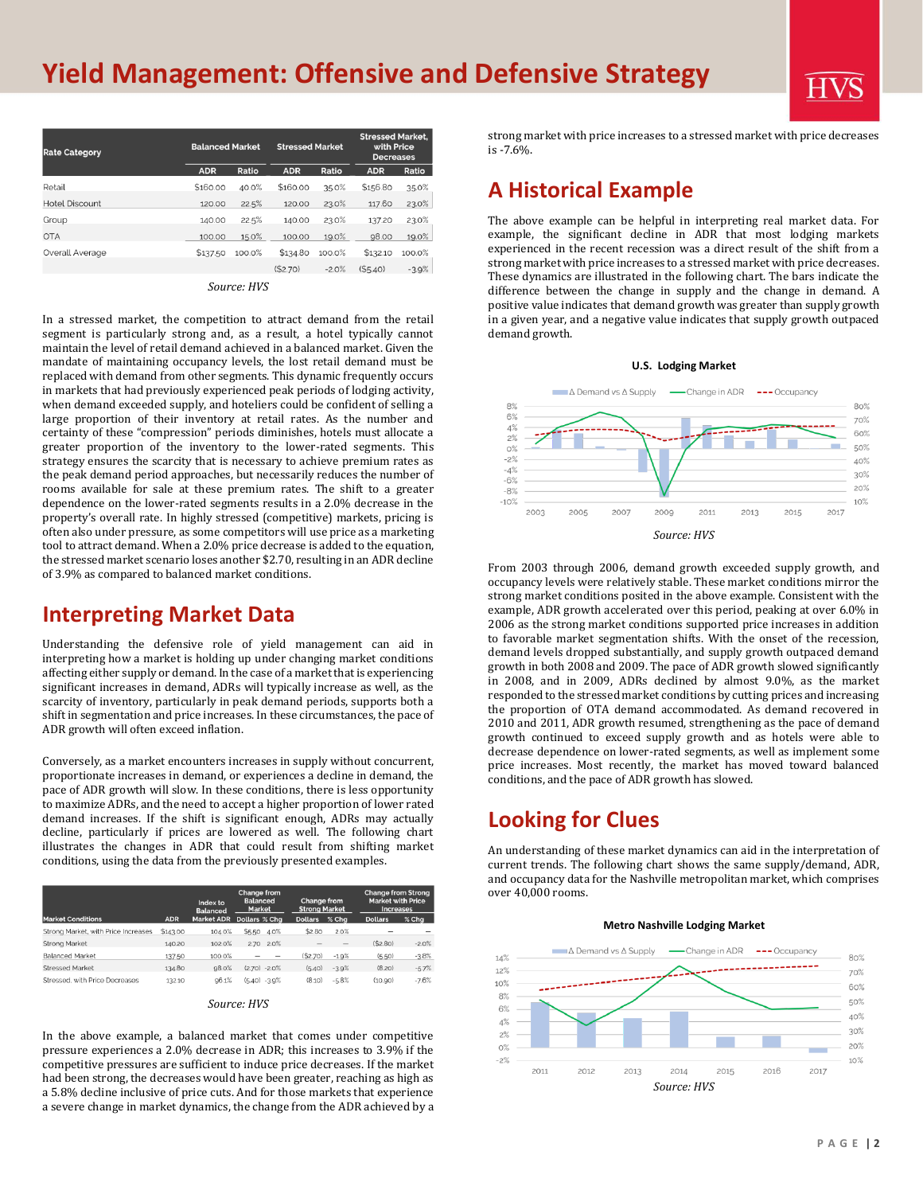# **Yield Management: Offensive and Defensive Strategy**

| <b>Rate Category</b>  |            | <b>Balanced Market</b> |            | <b>Stressed Market</b> |            | <b>Stressed Market,</b><br>with Price<br><b>Decreases</b> |  |
|-----------------------|------------|------------------------|------------|------------------------|------------|-----------------------------------------------------------|--|
|                       | <b>ADR</b> | Ratio                  | <b>ADR</b> | Ratio                  | <b>ADR</b> | Ratio                                                     |  |
| Retail                | \$160.00   | 40.0%                  | \$160.00   | 35.0%                  | \$156.80   | 35.0%                                                     |  |
| <b>Hotel Discount</b> | 120.00     | 22.5%                  | 120.00     | 23.0%                  | 117.60     | 23.0%                                                     |  |
| Group                 | 140.00     | 22.5%                  | 140.00     | 23.0%                  | 137.20     | 23.0%                                                     |  |
| <b>OTA</b>            | 100.00     | 15.0%                  | 100.00     | 19.0%                  | 98.00      | 19.0%                                                     |  |
| Overall Average       | \$137.50   | 100.0%                 | \$134.80   | 100.0%                 | \$132.10   | 100.0%                                                    |  |
|                       |            |                        | (S2.70)    | $-2.0%$                | (S5.40)    | $-3.9%$                                                   |  |
|                       |            |                        |            |                        |            |                                                           |  |

*Source: HVS*

In a stressed market, the competition to attract demand from the retail segment is particularly strong and, as a result, a hotel typically cannot maintain the level of retail demand achieved in a balanced market. Given the mandate of maintaining occupancy levels, the lost retail demand must be replaced with demand from other segments. This dynamic frequently occurs in markets that had previously experienced peak periods of lodging activity, when demand exceeded supply, and hoteliers could be confident of selling a large proportion of their inventory at retail rates. As the number and certainty of these "compression" periods diminishes, hotels must allocate a greater proportion of the inventory to the lower-rated segments. This strategy ensures the scarcity that is necessary to achieve premium rates as the peak demand period approaches, but necessarily reduces the number of rooms available for sale at these premium rates. The shift to a greater dependence on the lower-rated segments results in a 2.0% decrease in the property's overall rate. In highly stressed (competitive) markets, pricing is often also under pressure, as some competitors will use price as a marketing tool to attract demand. When a 2.0% price decrease is added to the equation, the stressed market scenario loses another \$2.70, resulting in an ADR decline of 3.9% as compared to balanced market conditions.

### **Interpreting Market Data**

Understanding the defensive role of yield management can aid in interpreting how a market is holding up under changing market conditions affecting either supply or demand. In the case of a market that is experiencing significant increases in demand, ADRs will typically increase as well, as the scarcity of inventory, particularly in peak demand periods, supports both a shift in segmentation and price increases. In these circumstances, the pace of ADR growth will often exceed inflation.

Conversely, as a market encounters increases in supply without concurrent, proportionate increases in demand, or experiences a decline in demand, the pace of ADR growth will slow. In these conditions, there is less opportunity to maximize ADRs, and the need to accept a higher proportion of lower rated demand increases. If the shift is significant enough, ADRs may actually decline, particularly if prices are lowered as well. The following chart illustrates the changes in ADR that could result from shifting market conditions, using the data from the previously presented examples.

|                                     |            | Index to<br><b>Balanced</b> | <b>Change from</b><br><b>Balanced</b><br><b>Market</b> |                | Change from<br><b>Strong Market</b> |                | <b>Change from Strong</b><br><b>Market with Price</b><br><b>Increases</b> |  |
|-------------------------------------|------------|-----------------------------|--------------------------------------------------------|----------------|-------------------------------------|----------------|---------------------------------------------------------------------------|--|
| <b>Market Conditions</b>            | <b>ADR</b> | <b>Market ADR</b>           | Dollars % Cha                                          | <b>Dollars</b> | $%$ Cha                             | <b>Dollars</b> | $%$ Cha                                                                   |  |
| Strong Market, with Price Increases | \$143.00   | 104.0%                      | \$5.50<br>4.0%                                         | \$2.80         | 2.0%                                |                |                                                                           |  |
| <b>Strong Market</b>                | 140.20     | 102.0%                      | 2.0%<br>2.70                                           | $\sim$         | $\overline{\phantom{a}}$            | (S2.80)        | $-2.0%$                                                                   |  |
| <b>Balanced Market</b>              | 137.50     | 100.0%                      |                                                        | (S2.70)        | $-1.9%$                             | (5.50)         | $-3.8%$                                                                   |  |
| <b>Stressed Market</b>              | 134.80     | 98.0%                       | $(2.70) -2.0%$                                         | (5.40)         | $-3.9%$                             | (8.20)         | $-5.7%$                                                                   |  |
| Stressed, with Price Decreases      | 132.10     | 96.1%                       | $(5.40) -3.9%$                                         | (8.10)         | $-5.8%$                             | (10.90)        | $-7.6%$                                                                   |  |

| Source: HVS |  |  |
|-------------|--|--|
|-------------|--|--|

In the above example, a balanced market that comes under competitive pressure experiences a 2.0% decrease in ADR; this increases to 3.9% if the competitive pressures are sufficient to induce price decreases. If the market had been strong, the decreases would have been greater, reaching as high as a 5.8% decline inclusive of price cuts. And for those markets that experience a severe change in market dynamics, the change from the ADR achieved by a

strong market with price increases to a stressed market with price decreases is -7.6%.

### **A Historical Example**

The above example can be helpful in interpreting real market data. For example, the significant decline in ADR that most lodging markets experienced in the recent recession was a direct result of the shift from a strong market with price increases to a stressed market with price decreases. These dynamics are illustrated in the following chart. The bars indicate the difference between the change in supply and the change in demand. A positive value indicates that demand growth was greater than supply growth in a given year, and a negative value indicates that supply growth outpaced demand growth.





From 2003 through 2006, demand growth exceeded supply growth, and occupancy levels were relatively stable. These market conditions mirror the strong market conditions posited in the above example. Consistent with the example, ADR growth accelerated over this period, peaking at over 6.0% in 2006 as the strong market conditions supported price increases in addition to favorable market segmentation shifts. With the onset of the recession, demand levels dropped substantially, and supply growth outpaced demand growth in both 2008 and 2009. The pace of ADR growth slowed significantly in 2008, and in 2009, ADRs declined by almost 9.0%, as the market responded to the stressed market conditions by cutting prices and increasing the proportion of OTA demand accommodated. As demand recovered in 2010 and 2011, ADR growth resumed, strengthening as the pace of demand growth continued to exceed supply growth and as hotels were able to decrease dependence on lower-rated segments, as well as implement some price increases. Most recently, the market has moved toward balanced conditions, and the pace of ADR growth has slowed.

## **Looking for Clues**

An understanding of these market dynamics can aid in the interpretation of current trends. The following chart shows the same supply/demand, ADR, and occupancy data for the Nashville metropolitan market, which comprises over 40,000 rooms.



#### **Metro Nashville Lodging Market**